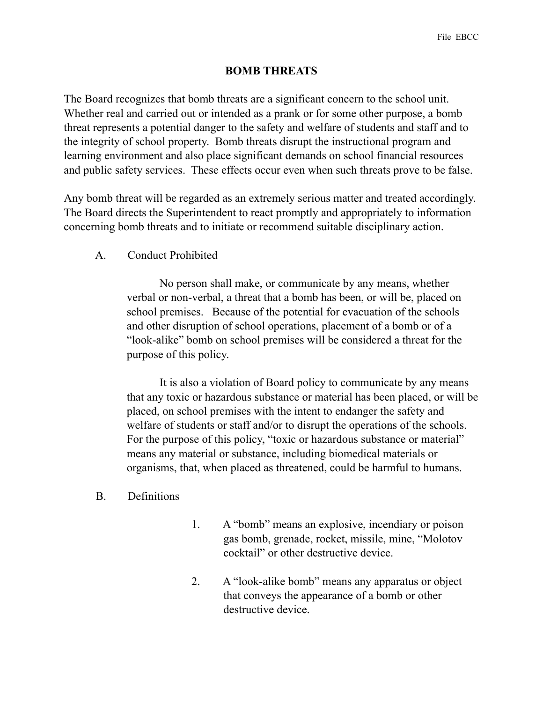## **BOMB THREATS**

The Board recognizes that bomb threats are a significant concern to the school unit. Whether real and carried out or intended as a prank or for some other purpose, a bomb threat represents a potential danger to the safety and welfare of students and staff and to the integrity of school property. Bomb threats disrupt the instructional program and learning environment and also place significant demands on school financial resources and public safety services. These effects occur even when such threats prove to be false.

Any bomb threat will be regarded as an extremely serious matter and treated accordingly. The Board directs the Superintendent to react promptly and appropriately to information concerning bomb threats and to initiate or recommend suitable disciplinary action.

A. Conduct Prohibited

 No person shall make, or communicate by any means, whether verbal or non-verbal, a threat that a bomb has been, or will be, placed on school premises. Because of the potential for evacuation of the schools and other disruption of school operations, placement of a bomb or of a "look-alike" bomb on school premises will be considered a threat for the purpose of this policy.

 It is also a violation of Board policy to communicate by any means that any toxic or hazardous substance or material has been placed, or will be placed, on school premises with the intent to endanger the safety and welfare of students or staff and/or to disrupt the operations of the schools. For the purpose of this policy, "toxic or hazardous substance or material" means any material or substance, including biomedical materials or organisms, that, when placed as threatened, could be harmful to humans.

- B. Definitions
- 1. A "bomb" means an explosive, incendiary or poison gas bomb, grenade, rocket, missile, mine, "Molotov cocktail" or other destructive device.
- 2. A "look-alike bomb" means any apparatus or object that conveys the appearance of a bomb or other destructive device.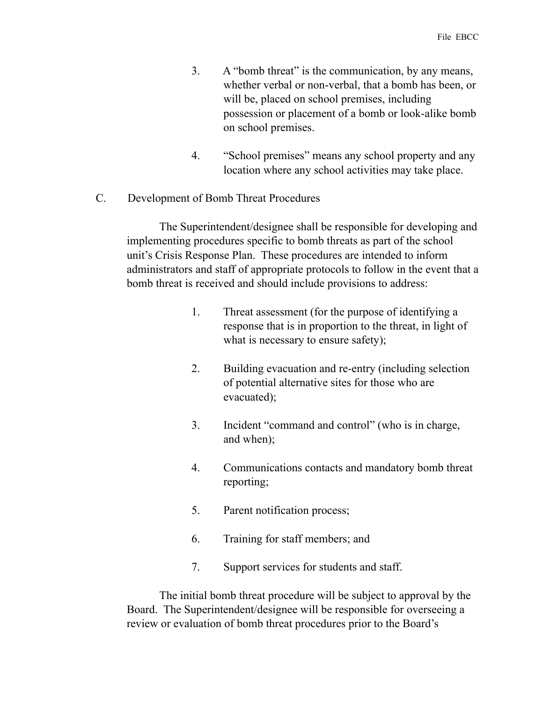- 3. A "bomb threat" is the communication, by any means, whether verbal or non-verbal, that a bomb has been, or will be, placed on school premises, including possession or placement of a bomb or look-alike bomb on school premises.
- 4. "School premises" means any school property and any location where any school activities may take place.
- C. Development of Bomb Threat Procedures

 The Superintendent/designee shall be responsible for developing and implementing procedures specific to bomb threats as part of the school unit's Crisis Response Plan. These procedures are intended to inform administrators and staff of appropriate protocols to follow in the event that a bomb threat is received and should include provisions to address:

- 1. Threat assessment (for the purpose of identifying a response that is in proportion to the threat, in light of what is necessary to ensure safety);
- 2. Building evacuation and re-entry (including selection of potential alternative sites for those who are evacuated);
- 3. Incident "command and control" (who is in charge, and when);
- 4. Communications contacts and mandatory bomb threat reporting;
- 5. Parent notification process;
- 6. Training for staff members; and
- 7. Support services for students and staff.

 The initial bomb threat procedure will be subject to approval by the Board. The Superintendent/designee will be responsible for overseeing a review or evaluation of bomb threat procedures prior to the Board's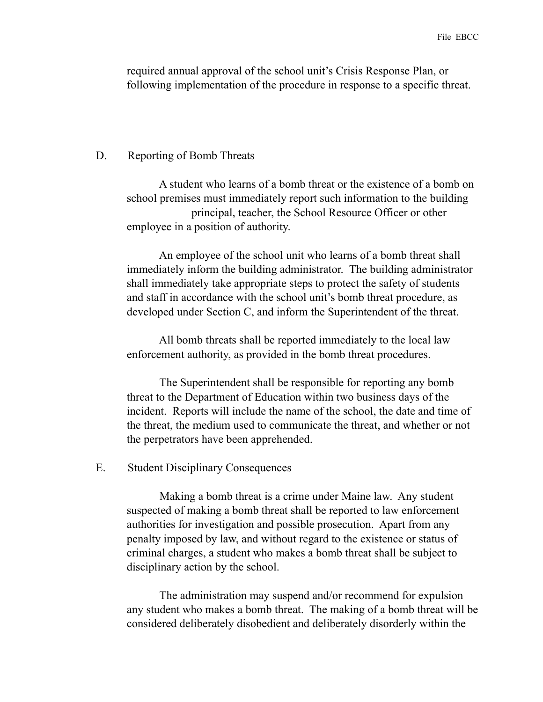required annual approval of the school unit's Crisis Response Plan, or following implementation of the procedure in response to a specific threat.

## D. Reporting of Bomb Threats

 A student who learns of a bomb threat or the existence of a bomb on school premises must immediately report such information to the building principal, teacher, the School Resource Officer or other employee in a position of authority.

 An employee of the school unit who learns of a bomb threat shall immediately inform the building administrator. The building administrator shall immediately take appropriate steps to protect the safety of students and staff in accordance with the school unit's bomb threat procedure, as developed under Section C, and inform the Superintendent of the threat.

 All bomb threats shall be reported immediately to the local law enforcement authority, as provided in the bomb threat procedures.

 The Superintendent shall be responsible for reporting any bomb threat to the Department of Education within two business days of the incident. Reports will include the name of the school, the date and time of the threat, the medium used to communicate the threat, and whether or not the perpetrators have been apprehended.

## E. Student Disciplinary Consequences

 Making a bomb threat is a crime under Maine law. Any student suspected of making a bomb threat shall be reported to law enforcement authorities for investigation and possible prosecution. Apart from any penalty imposed by law, and without regard to the existence or status of criminal charges, a student who makes a bomb threat shall be subject to disciplinary action by the school.

 The administration may suspend and/or recommend for expulsion any student who makes a bomb threat. The making of a bomb threat will be considered deliberately disobedient and deliberately disorderly within the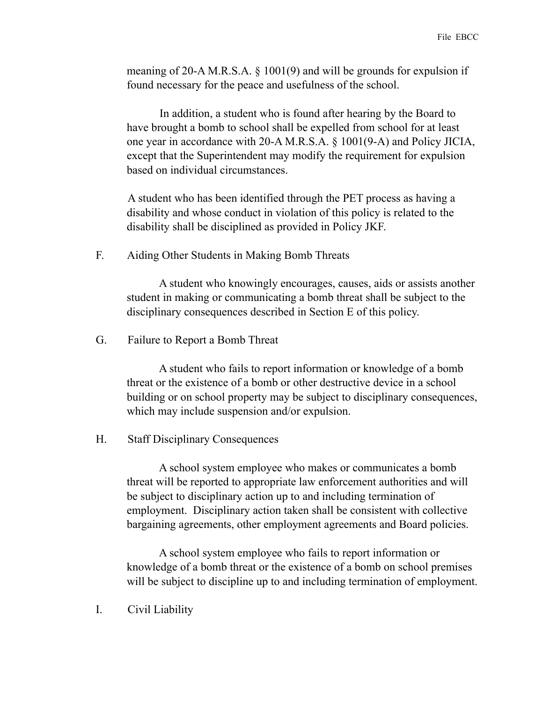meaning of 20-A M.R.S.A. § 1001(9) and will be grounds for expulsion if found necessary for the peace and usefulness of the school.

 In addition, a student who is found after hearing by the Board to have brought a bomb to school shall be expelled from school for at least one year in accordance with 20-A M.R.S.A. § 1001(9-A) and Policy JICIA, except that the Superintendent may modify the requirement for expulsion based on individual circumstances.

A student who has been identified through the PET process as having a disability and whose conduct in violation of this policy is related to the disability shall be disciplined as provided in Policy JKF.

F. Aiding Other Students in Making Bomb Threats

 A student who knowingly encourages, causes, aids or assists another student in making or communicating a bomb threat shall be subject to the disciplinary consequences described in Section E of this policy.

G. Failure to Report a Bomb Threat

 A student who fails to report information or knowledge of a bomb threat or the existence of a bomb or other destructive device in a school building or on school property may be subject to disciplinary consequences, which may include suspension and/or expulsion.

H. Staff Disciplinary Consequences

 A school system employee who makes or communicates a bomb threat will be reported to appropriate law enforcement authorities and will be subject to disciplinary action up to and including termination of employment. Disciplinary action taken shall be consistent with collective bargaining agreements, other employment agreements and Board policies.

 A school system employee who fails to report information or knowledge of a bomb threat or the existence of a bomb on school premises will be subject to discipline up to and including termination of employment.

I. Civil Liability